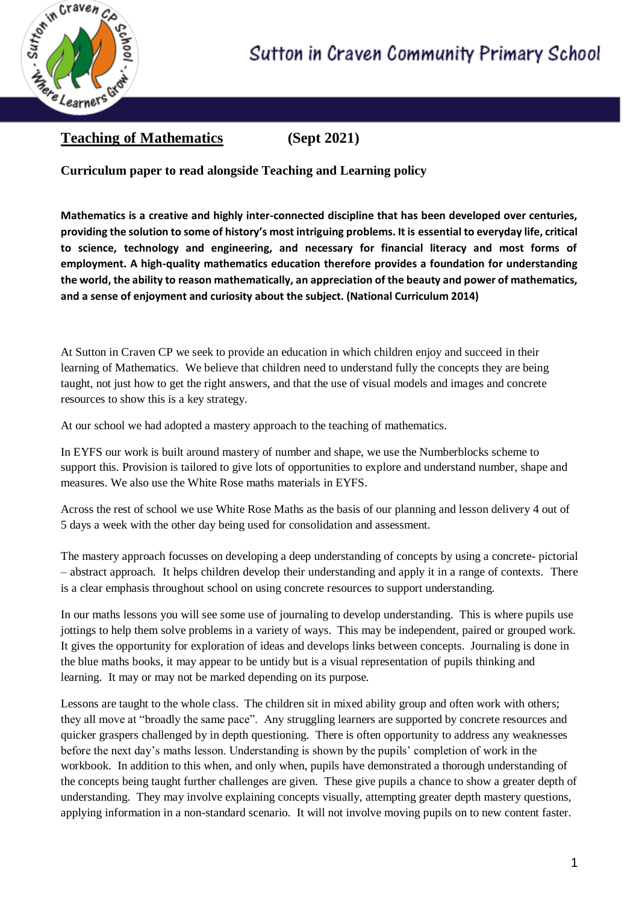

## **Teaching of Mathematics (Sept 2021)**

**Curriculum paper to read alongside Teaching and Learning policy**

**Mathematics is a creative and highly inter-connected discipline that has been developed over centuries, providing the solution to some of history's most intriguing problems. It is essential to everyday life, critical to science, technology and engineering, and necessary for financial literacy and most forms of employment. A high-quality mathematics education therefore provides a foundation for understanding the world, the ability to reason mathematically, an appreciation of the beauty and power of mathematics, and a sense of enjoyment and curiosity about the subject. (National Curriculum 2014)**

At Sutton in Craven CP we seek to provide an education in which children enjoy and succeed in their learning of Mathematics. We believe that children need to understand fully the concepts they are being taught, not just how to get the right answers, and that the use of visual models and images and concrete resources to show this is a key strategy.

At our school we had adopted a mastery approach to the teaching of mathematics.

In EYFS our work is built around mastery of number and shape, we use the Numberblocks scheme to support this. Provision is tailored to give lots of opportunities to explore and understand number, shape and measures. We also use the White Rose maths materials in EYFS.

Across the rest of school we use White Rose Maths as the basis of our planning and lesson delivery 4 out of 5 days a week with the other day being used for consolidation and assessment.

The mastery approach focusses on developing a deep understanding of concepts by using a concrete- pictorial – abstract approach. It helps children develop their understanding and apply it in a range of contexts. There is a clear emphasis throughout school on using concrete resources to support understanding.

In our maths lessons you will see some use of journaling to develop understanding. This is where pupils use jottings to help them solve problems in a variety of ways. This may be independent, paired or grouped work. It gives the opportunity for exploration of ideas and develops links between concepts. Journaling is done in the blue maths books, it may appear to be untidy but is a visual representation of pupils thinking and learning. It may or may not be marked depending on its purpose.

Lessons are taught to the whole class. The children sit in mixed ability group and often work with others; they all move at "broadly the same pace". Any struggling learners are supported by concrete resources and quicker graspers challenged by in depth questioning. There is often opportunity to address any weaknesses before the next day's maths lesson. Understanding is shown by the pupils' completion of work in the workbook. In addition to this when, and only when, pupils have demonstrated a thorough understanding of the concepts being taught further challenges are given. These give pupils a chance to show a greater depth of understanding. They may involve explaining concepts visually, attempting greater depth mastery questions, applying information in a non-standard scenario. It will not involve moving pupils on to new content faster.